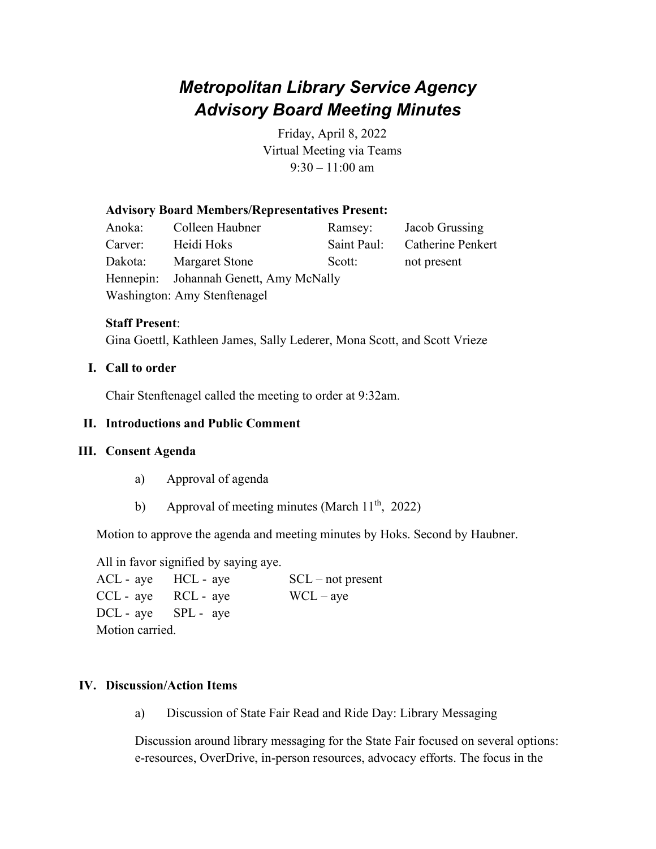# *Metropolitan Library Service Agency Advisory Board Meeting Minutes*

Friday, April 8, 2022 Virtual Meeting via Teams  $9:30 - 11:00$  am

## **Advisory Board Members/Representatives Present:**

Anoka: Colleen Haubner Ramsey: Jacob Grussing Carver: Heidi Hoks Saint Paul: Catherine Penkert Dakota: Margaret Stone Scott: not present Hennepin: Johannah Genett, Amy McNally Washington: Amy Stenftenagel

### **Staff Present**:

Gina Goettl, Kathleen James, Sally Lederer, Mona Scott, and Scott Vrieze

## **I. Call to order**

Chair Stenftenagel called the meeting to order at 9:32am.

## **II. Introductions and Public Comment**

### **III. Consent Agenda**

- a) Approval of agenda
- b) Approval of meeting minutes (March  $11<sup>th</sup>$ , 2022)

Motion to approve the agenda and meeting minutes by Hoks. Second by Haubner.

All in favor signified by saying aye.

 $ACL$  - aye  $HCL$  - aye  $SCL$  – not present  $CCL - ave$  RCL - aye WCL – aye DCL - aye SPL - aye Motion carried.

### **IV. Discussion/Action Items**

a) Discussion of State Fair Read and Ride Day: Library Messaging

Discussion around library messaging for the State Fair focused on several options: e-resources, OverDrive, in-person resources, advocacy efforts. The focus in the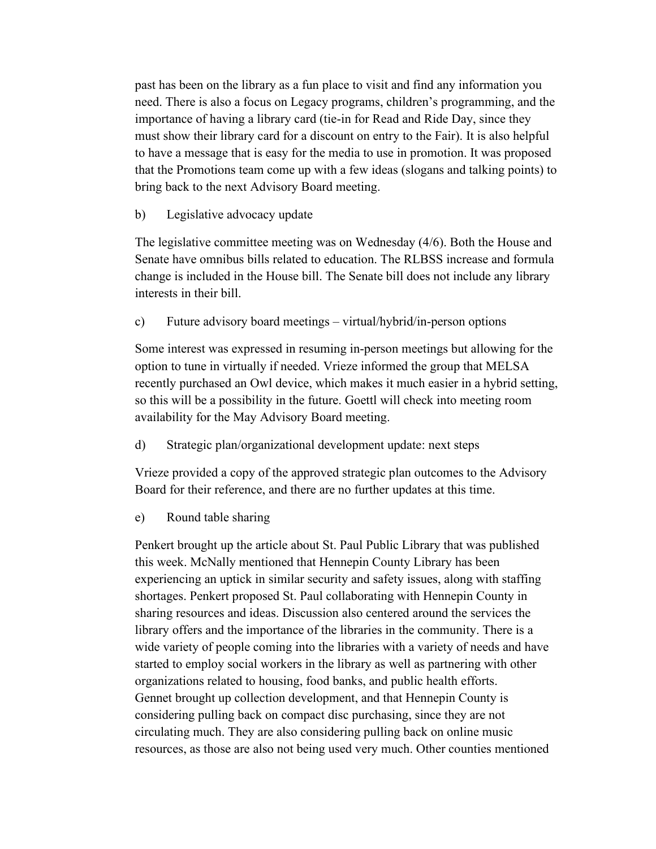past has been on the library as a fun place to visit and find any information you need. There is also a focus on Legacy programs, children's programming, and the importance of having a library card (tie-in for Read and Ride Day, since they must show their library card for a discount on entry to the Fair). It is also helpful to have a message that is easy for the media to use in promotion. It was proposed that the Promotions team come up with a few ideas (slogans and talking points) to bring back to the next Advisory Board meeting.

#### b) Legislative advocacy update

The legislative committee meeting was on Wednesday (4/6). Both the House and Senate have omnibus bills related to education. The RLBSS increase and formula change is included in the House bill. The Senate bill does not include any library interests in their bill.

c) Future advisory board meetings – virtual/hybrid/in-person options

Some interest was expressed in resuming in-person meetings but allowing for the option to tune in virtually if needed. Vrieze informed the group that MELSA recently purchased an Owl device, which makes it much easier in a hybrid setting, so this will be a possibility in the future. Goettl will check into meeting room availability for the May Advisory Board meeting.

d) Strategic plan/organizational development update: next steps

Vrieze provided a copy of the approved strategic plan outcomes to the Advisory Board for their reference, and there are no further updates at this time.

e) Round table sharing

Penkert brought up the article about St. Paul Public Library that was published this week. McNally mentioned that Hennepin County Library has been experiencing an uptick in similar security and safety issues, along with staffing shortages. Penkert proposed St. Paul collaborating with Hennepin County in sharing resources and ideas. Discussion also centered around the services the library offers and the importance of the libraries in the community. There is a wide variety of people coming into the libraries with a variety of needs and have started to employ social workers in the library as well as partnering with other organizations related to housing, food banks, and public health efforts. Gennet brought up collection development, and that Hennepin County is considering pulling back on compact disc purchasing, since they are not circulating much. They are also considering pulling back on online music resources, as those are also not being used very much. Other counties mentioned